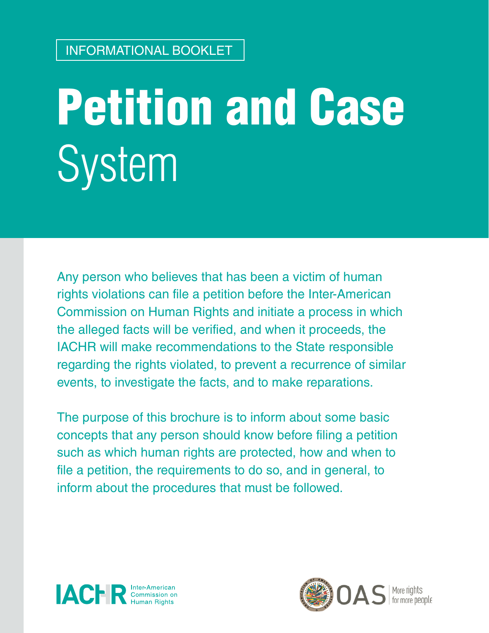# Petition and Case System

Any person who believes that has been a victim of human rights violations can file a petition before the Inter-American Commission on Human Rights and initiate a process in which the alleged facts will be verified, and when it proceeds, the IACHR will make recommendations to the State responsible regarding the rights violated, to prevent a recurrence of similar events, to investigate the facts, and to make reparations.

The purpose of this brochure is to inform about some basic concepts that any person should know before filing a petition such as which human rights are protected, how and when to file a petition, the requirements to do so, and in general, to inform about the procedures that must be followed.



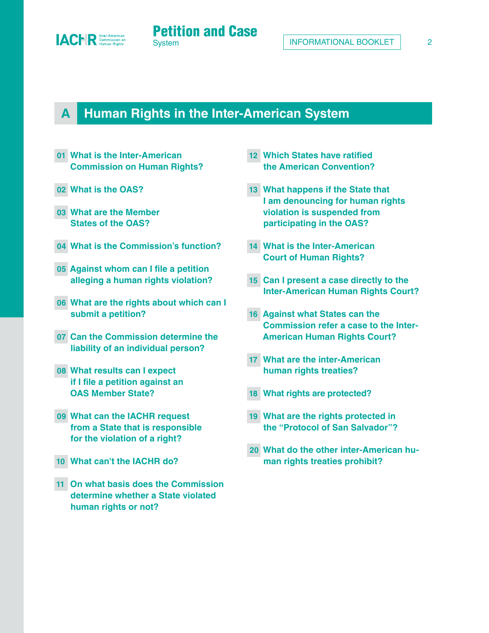

#### **[A](#page-3-0) Human Rights in the Inter-American System**

- **01 [What is the Inter-American](#page-4-0) [Commission on Human Rights?](#page-4-0)**
- **02 What is the OA[S?](#page-4-0)**
- **03 [What are the Member](#page-5-0) [States of the OAS?](#page-5-0)**
- **04 What is the Commission's functio[n?](#page-5-0)**
- **05 [Against whom can I file a petition](#page-5-0) [alleging a human rights violation?](#page-5-0)**
- **06 [What are the rights about which can I](#page-6-0)  [submit a petition?](#page-6-0)**
- **07 [Can the Commission determine the](#page-6-0)  [liability of an individual person?](#page-6-0)**
- **08 [What results can I expect](#page-6-0) [if I file a petition against an](#page-6-0) [OAS Member State?](#page-6-0)**
- **09 [What can the IACHR request](#page-7-0) [from a State that is responsible](#page-7-0) [for the violation of a right?](#page-7-0)**
- **10 [What can't the IACHR do?](#page-7-0)**
- **11 [On what basis does the Commission](#page-7-0)  [determine whether a State violated](#page-7-0) [human rights or not?](#page-7-0)**
- **12 [Which States have ratified](#page-8-0) [the American Convention?](#page-8-0)**
- **13 [What happens if the State that](#page-8-0) [I am denouncing for human rights](#page-8-0) [violation is suspended from](#page-8-0) [participating in the OAS?](#page-8-0)**
- **14 [What is the Inter-American](#page-8-0) [Court of Human Rights?](#page-8-0)**
- **15 [Can I present a case directly to the](#page-9-0) [Inter-American Human Rights Court?](#page-9-0)**
- **16 [Against what States can the](#page-9-0) [Commission refer a case to the Inter-](#page-9-0)[American Human Rights Court?](#page-9-0)**
- **17 [What are the inter-American](#page-9-0) [human rights treaties?](#page-9-0)**
- **18 [What rights are protected?](#page-10-0)**
- **19 [What are the rights protected in](#page-11-0) [the "Protocol of San Salvador"?](#page-11-0)**
- **20 [What do the other inter-American hu](#page-11-0)[man rights treaties prohibit?](#page-11-0)**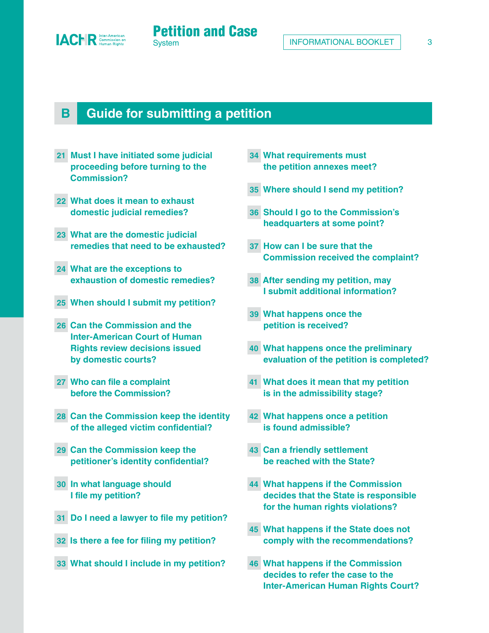

#### **[B](#page-12-0) Guide for submitting a petition**

- **21 [Must I have initiated some judicial](#page-13-0) [proceeding before turning to the](#page-13-0) [Commission?](#page-13-0)**
- **22 What does it mean to exhaust domestic judicial remedie[s?](#page-13-0)**
- **23 [What are the domestic judicial](#page-13-0) [remedies that need to be exhausted?](#page-13-0)**
- **24 [What are the exceptions to](#page-14-0) [exhaustion of domestic remedies?](#page-14-0)**
- **25 [When should I submit my petition?](#page-14-0)**
- **26 [Can the Commission and the](#page-14-0) [Inter-American Court of Human](#page-14-0) [Rights review decisions issued](#page-14-0) [by domestic courts?](#page-14-0)**
- **27 [Who can file a complaint](#page-15-0) [before the Commission?](#page-15-0)**
- **28 [Can the Commission keep the identity](#page-15-0)  [of the alleged victim confidential?](#page-15-0)**
- **29 [Can the Commission keep the](#page-16-0) [petitioner's identity confidential?](#page-16-0)**
- **30 [In what language should](#page-16-0) [I file my petition?](#page-16-0)**
- **31 [Do I need a lawyer to file my petition?](#page-16-0)**
- **32 [Is there a fee for filing my petition?](#page-16-0)**
- **33 [What should I include in my petition?](#page-17-0)**
- **34 [What requirements must](#page-17-0) [the petition annexes meet?](#page-17-0)**
- **35 [Where should I send my petition?](#page-18-0)**
- **36 [Should I go to the Commission's](#page-19-0) [headquarters at some point?](#page-19-0)**
- **37 [How can I be sure that the](#page-19-0) [Commission received the complaint?](#page-19-0)**
- **38 [After sending my petition, may](#page-19-0) [I submit additional information?](#page-19-0)**
- **39 [What happens once the](#page-19-0) [petition is received?](#page-19-0)**
- **40 [What happens once the preliminary](#page-20-0) [evaluation of the petition is completed?](#page-20-0)**
- **41 [What does it mean that my petition](#page-20-0) [is in the admissibility stage?](#page-20-0)**
- **42 [What happens once a petition](#page-20-0) [is found admissible?](#page-20-0)**
- **43 [Can a friendly settlement](#page-20-0) [be reached with the State?](#page-20-0)**
- **44 [What happens if the Commission](#page-21-0) [decides that the State is responsible](#page-21-0) [for the human rights violations?](#page-21-0)**
- **45 [What happens if the State does not](#page-21-0)  [comply with the recommendations?](#page-21-0)**
- **46 [What happens if the Commission](#page-21-0) [decides to refer the case to the](#page-21-0) [Inter-American Human Rights Court?](#page-21-0)**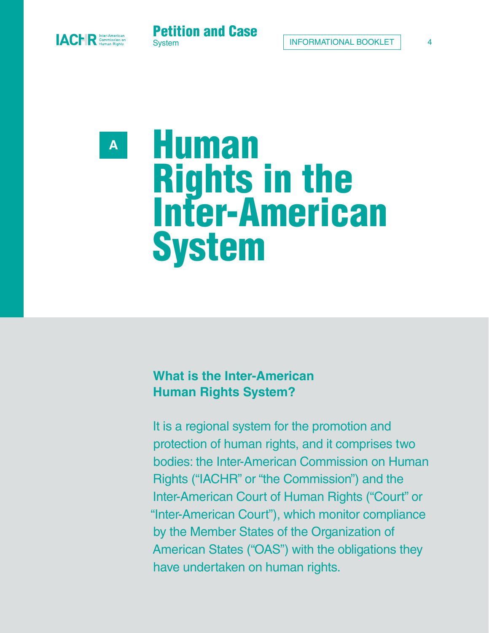<span id="page-3-0"></span>



**A** 

# Human Rights in the Inter-American System

#### **What is the Inter-American Human Rights System?**

It is a regional system for the promotion and protection of human rights, and it comprises two bodies: the Inter-American Commission on Human Rights ("IACHR" or "the Commission") and the Inter-American Court of Human Rights ("Court" or "Inter-American Court"), which monitor compliance by the Member States of the Organization of American States ("OAS") with the obligations they have undertaken on human rights.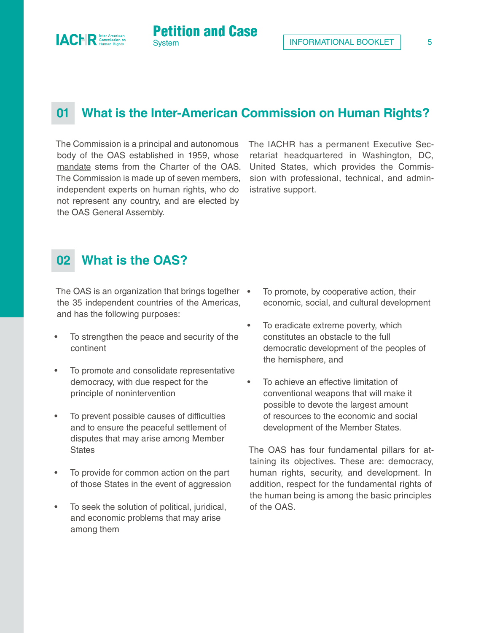## **01 What is the Inter-American Commission on Human Rights?**

Petition and Case

**System** 

The Commission is a principal and autonomous body of the OAS established in 1959, whose [mandate](https://www.oas.org/en/iachr/jsForm/?File=/en/iachr/mandate/functions.asp) stems from the Charter of the OAS. The Commission is made up of [seven members](https://www.oas.org/es/CIDH/jsForm/?File=/es/cidh/mandato/composicion.asp), independent experts on human rights, who do not represent any country, and are elected by the OAS General Assembly.

The IACHR has a permanent Executive Secretariat headquartered in Washington, DC, United States, which provides the Commission with professional, technical, and administrative support.

#### **02 What is the OAS?**

<span id="page-4-0"></span>**ACHR** Commission of

The OAS is an organization that brings together • the 35 independent countries of the Americas, and has the following [purposes:](https://www.oas.org/en/about/purpose.asp)

- To strengthen the peace and security of the continent
- To promote and consolidate representative democracy, with due respect for the principle of nonintervention
- To prevent possible causes of difficulties and to ensure the peaceful settlement of disputes that may arise among Member **States**
- To provide for common action on the part of those States in the event of aggression
- To seek the solution of political, juridical, and economic problems that may arise among them
- To promote, by cooperative action, their economic, social, and cultural development
- To eradicate extreme poverty, which constitutes an obstacle to the full democratic development of the peoples of the hemisphere, and
- To achieve an effective limitation of conventional weapons that will make it possible to devote the largest amount of resources to the economic and social development of the Member States.

The OAS has four fundamental pillars for attaining its objectives. These are: democracy, human rights, security, and development. In addition, respect for the fundamental rights of the human being is among the basic principles of the OAS.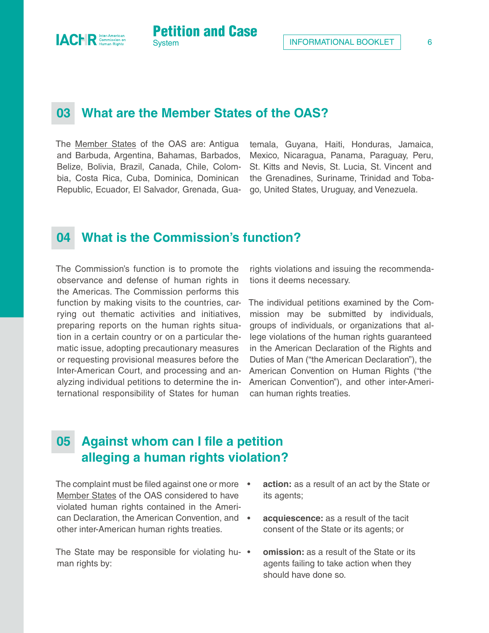INFORMATIONAL BOOKLET | 6

#### **03 What are the Member States of the OAS?**

**Petition and Case** 

The [Member States](https://www.oas.org/en/about/member_states.asp) of the OAS are: Antigua and Barbuda, Argentina, Bahamas, Barbados, Belize, Bolivia, Brazil, Canada, Chile, Colombia, Costa Rica, Cuba, Dominica, Dominican Republic, Ecuador, El Salvador, Grenada, Gua-

temala, Guyana, Haiti, Honduras, Jamaica, Mexico, Nicaragua, Panama, Paraguay, Peru, St. Kitts and Nevis, St. Lucia, St. Vincent and the Grenadines, Suriname, Trinidad and Tobago, United States, Uruguay, and Venezuela.

#### **04 What is the Commission's function?**

The Commission's function is to promote the observance and defense of human rights in the Americas. The Commission performs this function by making visits to the countries, carrying out thematic activities and initiatives, preparing reports on the human rights situation in a certain country or on a particular thematic issue, adopting precautionary measures or requesting provisional measures before the Inter-American Court, and processing and analyzing individual petitions to determine the international responsibility of States for human

rights violations and issuing the recommendations it deems necessary.

The individual petitions examined by the Commission may be submitted by individuals, groups of individuals, or organizations that allege violations of the human rights guaranteed in the American Declaration of the Rights and Duties of Man ("the American Declaration"), the American Convention on Human Rights ("the American Convention"), and other inter-American human rights treaties.

#### **05 Against whom can I file a petition alleging a human rights violation?**

The complaint must be filed against one or more . [Member States](https://www.oas.org/en/about/member_states.asp) of the OAS considered to have violated human rights contained in the American Declaration, the American Convention, and other inter-American human rights treaties.

The State may be responsible for violating hu- $\bullet$ man rights by:

- **action:** as a result of an act by the State or its agents;
- **acquiescence:** as a result of the tacit consent of the State or its agents; or
- **omission:** as a result of the State or its agents failing to take action when they should have done so.

<span id="page-5-0"></span>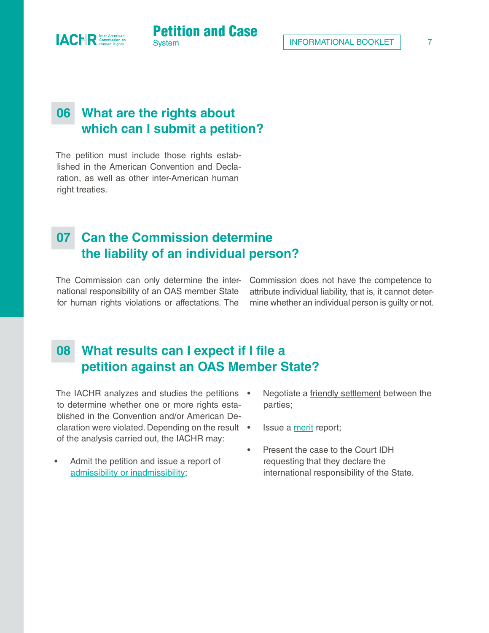# **06 What are the rights about which can I submit a petition?**

**System** 

Petition and Case

The petition must include those rights established in the American Convention and Declaration, as well as other inter-American human right treaties.

<span id="page-6-0"></span>**IACHR** Commission of

#### **07 Can the Commission determine the liability of an individual person?**

The Commission can only determine the international responsibility of an OAS member State for human rights violations or affectations. The

Commission does not have the competence to attribute individual liability, that is, it cannot determine whether an individual person is guilty or not.

## **08 What results can I expect if I file a petition against an OAS Member State?**

The IACHR analyzes and studies the petitions • to determine whether one or more rights established in the Convention and/or American Declaration were violated. Depending on the result • of the analysis carried out, the IACHR may:

- Admit the petition and issue a report of [admissibility or inadmissibility;](#page-23-0)
- Negotiate a [friendly settlement](https://www.oas.org/en/iachr/jsForm/?File=/en/iachr/friendly_settlements/about-friendly-settlements.asp) between the parties;
- Issue a [merit](#page-23-0) report;
- Present the case to the Court IDH requesting that they declare the international responsibility of the State.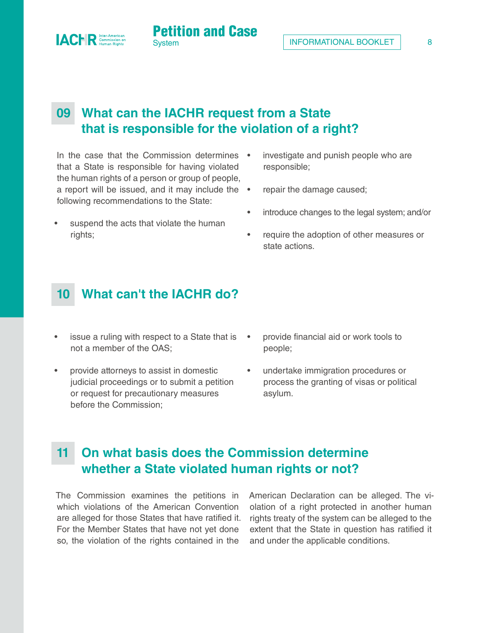# **09 What can the IACHR request from a State that is responsible for the violation of a right?**

**Petition and Case** 

In the case that the Commission determines • that a State is responsible for having violated the human rights of a person or group of people, a report will be issued, and it may include the • following recommendations to the State:

<span id="page-7-0"></span>**IACHR** 

- suspend the acts that violate the human rights;
- investigate and punish people who are responsible;
- repair the damage caused;
- introduce changes to the legal system; and/or
- require the adoption of other measures or state actions.

#### **10 What can't the IACHR do?**

- issue a ruling with respect to a State that is not a member of the OAS;
- provide attorneys to assist in domestic judicial proceedings or to submit a petition or request for precautionary measures before the Commission;
- provide financial aid or work tools to people;
- undertake immigration procedures or process the granting of visas or political asylum.

#### **11 On what basis does the Commission determine whether a State violated human rights or not?**

The Commission examines the petitions in which violations of the American Convention are alleged for those States that have ratified it. For the Member States that have not yet done so, the violation of the rights contained in the

American Declaration can be alleged. The violation of a right protected in another human rights treaty of the system can be alleged to the extent that the State in question has ratified it and under the applicable conditions.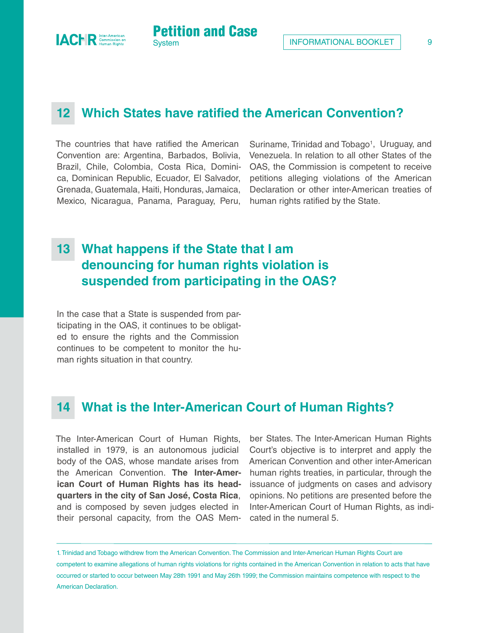<span id="page-8-0"></span>

#### **12 Which States have ratified the American Convention?**

Petition and Case

**System** 

The countries that have ratified the American Convention are: Argentina, Barbados, Bolivia, Brazil, Chile, Colombia, Costa Rica, Dominica, Dominican Republic, Ecuador, El Salvador, Grenada, Guatemala, Haiti, Honduras, Jamaica, Mexico, Nicaragua, Panama, Paraguay, Peru,

Suriname, Trinidad and Tobago<sup>1</sup>, Uruguay, and Venezuela. In relation to all other States of the OAS, the Commission is competent to receive petitions alleging violations of the American Declaration or other inter-American treaties of human rights ratified by the State.

## **13 What happens if the State that I am denouncing for human rights violation is suspended from participating in the OAS?**

In the case that a State is suspended from participating in the OAS, it continues to be obligated to ensure the rights and the Commission continues to be competent to monitor the human rights situation in that country.

#### **14 What is the Inter-American Court of Human Rights?**

The Inter-American Court of Human Rights, installed in 1979, is an autonomous judicial body of the OAS, whose mandate arises from the American Convention. **The Inter-American Court of Human Rights has its headquarters in the city of San José, Costa Rica**, and is composed by seven judges elected in their personal capacity, from the OAS Mem-

ber States. The Inter-American Human Rights Court's objective is to interpret and apply the American Convention and other inter-American human rights treaties, in particular, through the issuance of judgments on cases and advisory opinions. No petitions are presented before the Inter-American Court of Human Rights, as indicated in the numeral 5.

1. Trinidad and Tobago withdrew from the American Convention. The Commission and Inter-American Human Rights Court are competent to examine allegations of human rights violations for rights contained in the American Convention in relation to acts that have occurred or started to occur between May 28th 1991 and May 26th 1999; the Commission maintains competence with respect to the American Declaration.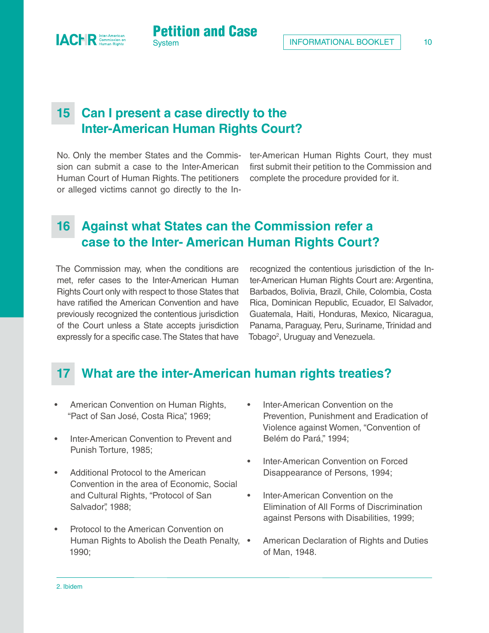

**Petition and Case** 

No. Only the member States and the Commission can submit a case to the Inter-American Human Court of Human Rights. The petitioners or alleged victims cannot go directly to the In-

<span id="page-9-0"></span>**ACHR** Commission of

ter-American Human Rights Court, they must first submit their petition to the Commission and complete the procedure provided for it.

#### **16 Against what States can the Commission refer a case to the Inter- American Human Rights Court?**

The Commission may, when the conditions are met, refer cases to the Inter-American Human Rights Court only with respect to those States that have ratified the American Convention and have previously recognized the contentious jurisdiction of the Court unless a State accepts jurisdiction expressly for a specific case. The States that have

recognized the contentious jurisdiction of the Inter-American Human Rights Court are: Argentina, Barbados, Bolivia, Brazil, Chile, Colombia, Costa Rica, Dominican Republic, Ecuador, El Salvador, Guatemala, Haiti, Honduras, Mexico, Nicaragua, Panama, Paraguay, Peru, Suriname, Trinidad and Tobago<sup>2</sup>, Uruguay and Venezuela.

#### **17 What are the inter-American human rights treaties?**

- American Convention on Human Rights, "Pact of San José, Costa Rica", 1969;
- Inter-American Convention to Prevent and Punish Torture, 1985;
- Additional Protocol to the American Convention in the area of Economic, Social and Cultural Rights, "Protocol of San Salvador", 1988;
- Protocol to the American Convention on Human Rights to Abolish the Death Penalty, . 1990;
- Inter-American Convention on the Prevention, Punishment and Eradication of Violence against Women, "Convention of Belém do Pará," 1994;
- Inter-American Convention on Forced Disappearance of Persons, 1994;
- Inter-American Convention on the Elimination of All Forms of Discrimination against Persons with Disabilities, 1999;
- American Declaration of Rights and Duties of Man, 1948.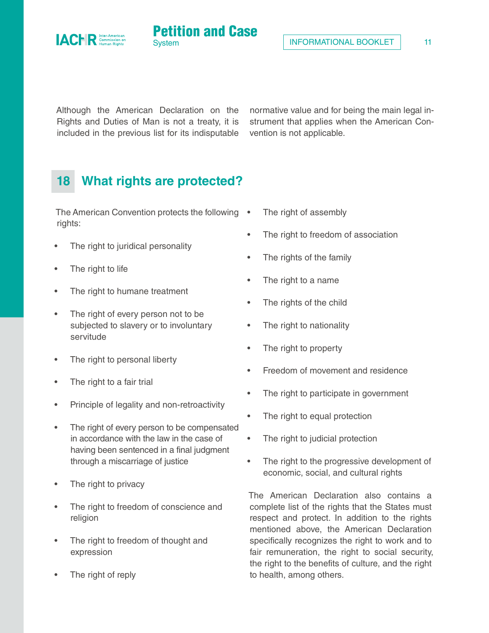<span id="page-10-0"></span>



Although the American Declaration on the Rights and Duties of Man is not a treaty, it is included in the previous list for its indisputable

**System** 

Petition and Case

normative value and for being the main legal instrument that applies when the American Convention is not applicable.

# **18 What rights are protected?**

The American Convention protects the following . rights:

- The right to juridical personality
- The right to life
- The right to humane treatment
- The right of every person not to be subjected to slavery or to involuntary servitude
- The right to personal liberty
- The right to a fair trial
- Principle of legality and non-retroactivity
- The right of every person to be compensated in accordance with the law in the case of having been sentenced in a final judgment through a miscarriage of justice
- The right to privacy
- The right to freedom of conscience and religion
- The right to freedom of thought and expression
- The right of reply
- The right of assembly
- The right to freedom of association
- The rights of the family
- The right to a name
- The rights of the child
- The right to nationality
- The right to property
- Freedom of movement and residence
- The right to participate in government
- The right to equal protection
- The right to judicial protection
- The right to the progressive development of economic, social, and cultural rights

The American Declaration also contains a complete list of the rights that the States must respect and protect. In addition to the rights mentioned above, the American Declaration specifically recognizes the right to work and to fair remuneration, the right to social security, the right to the benefits of culture, and the right to health, among others.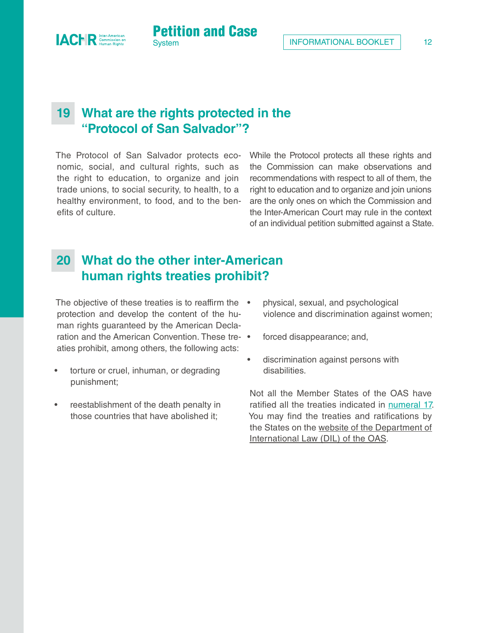#### **19 What are the rights protected in the "Protocol of San Salvador"?**

**Petition and Case** 

The Protocol of San Salvador protects economic, social, and cultural rights, such as the right to education, to organize and join trade unions, to social security, to health, to a healthy environment, to food, and to the benefits of culture.

While the Protocol protects all these rights and the Commission can make observations and recommendations with respect to all of them, the right to education and to organize and join unions are the only ones on which the Commission and the Inter-American Court may rule in the context of an individual petition submitted against a State.

#### **20 What do the other inter-American human rights treaties prohibit?**

The objective of these treaties is to reaffirm the • protection and develop the content of the human rights guaranteed by the American Declaration and the American Convention. These tre-  $\bullet$ aties prohibit, among others, the following acts:

- torture or cruel, inhuman, or degrading punishment;
- reestablishment of the death penalty in those countries that have abolished it;
- physical, sexual, and psychological violence and discrimination against women;
- forced disappearance; and,
- discrimination against persons with disabilities.

Not all the Member States of the OAS have ratified all the treaties indicated in [numeral 17.](#page-9-0) You may find the treaties and ratifications by the States on the [website of the Department of](https://www.oas.org/en/sla/dil/inter_american_treaties.asp)  [International Law \(DIL\) of the OAS.](https://www.oas.org/en/sla/dil/inter_american_treaties.asp)

<span id="page-11-0"></span>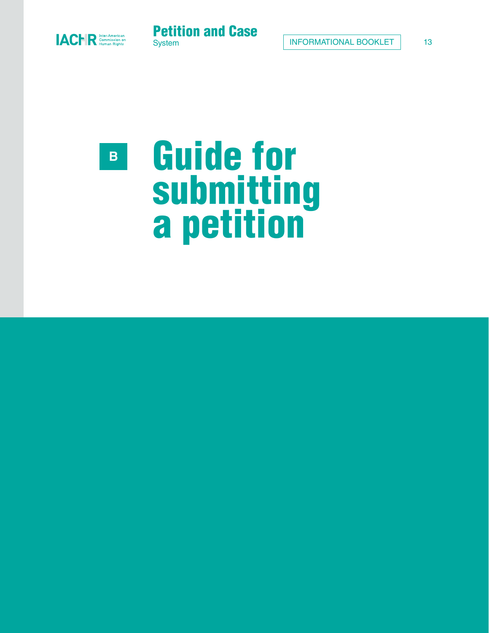<span id="page-12-0"></span>



# Guide for submitting a petition **B**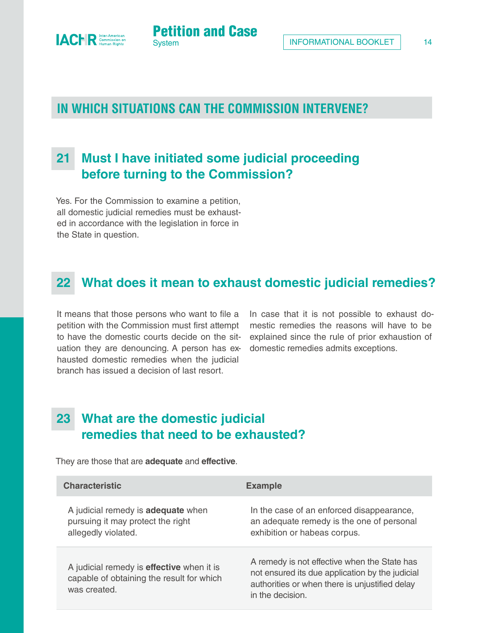<span id="page-13-0"></span>

**Petition and Case** 

#### **21 Must I have initiated some judicial proceeding before turning to the Commission?**

Yes. For the Commission to examine a petition, all domestic judicial remedies must be exhausted in accordance with the legislation in force in the State in question.

#### **22 What does it mean to exhaust domestic judicial remedies?**

It means that those persons who want to file a petition with the Commission must first attempt to have the domestic courts decide on the situation they are denouncing. A person has exhausted domestic remedies when the judicial branch has issued a decision of last resort.

In case that it is not possible to exhaust domestic remedies the reasons will have to be explained since the rule of prior exhaustion of domestic remedies admits exceptions.

## **23 What are the domestic judicial remedies that need to be exhausted?**

They are those that are **adequate** and **effective**.

| <b>Characteristic</b>                                                                                         | <b>Example</b>                                                                                                                                                        |
|---------------------------------------------------------------------------------------------------------------|-----------------------------------------------------------------------------------------------------------------------------------------------------------------------|
| A judicial remedy is <b>adequate</b> when<br>pursuing it may protect the right<br>allegedly violated.         | In the case of an enforced disappearance,<br>an adequate remedy is the one of personal<br>exhibition or habeas corpus.                                                |
| A judicial remedy is <b>effective</b> when it is<br>capable of obtaining the result for which<br>was created. | A remedy is not effective when the State has<br>not ensured its due application by the judicial<br>authorities or when there is unjustified delay<br>in the decision. |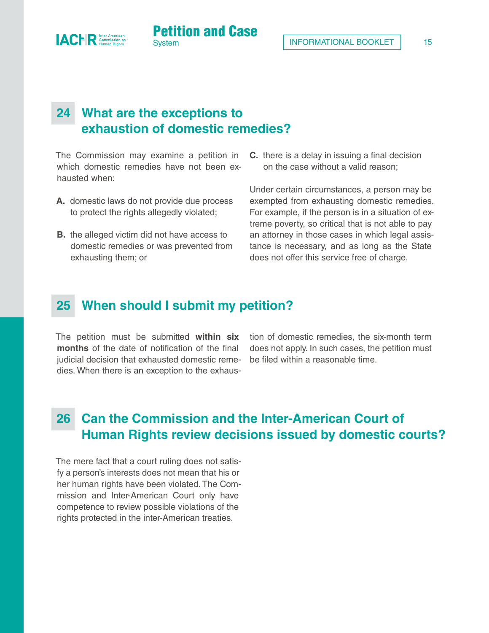

**System** 

<span id="page-14-0"></span>**IACFR** Comer

Petition and Case

The Commission may examine a petition in which domestic remedies have not been exhausted when:

- **A.** domestic laws do not provide due process to protect the rights allegedly violated;
- **B.** the alleged victim did not have access to domestic remedies or was prevented from exhausting them; or
- **C.** there is a delay in issuing a final decision on the case without a valid reason;

Under certain circumstances, a person may be exempted from exhausting domestic remedies. For example, if the person is in a situation of extreme poverty, so critical that is not able to pay an attorney in those cases in which legal assistance is necessary, and as long as the State does not offer this service free of charge.

#### **25 When should I submit my petition?**

The petition must be submitted **within six months** of the date of notification of the final judicial decision that exhausted domestic remedies. When there is an exception to the exhaustion of domestic remedies, the six-month term does not apply. In such cases, the petition must be filed within a reasonable time.

# **26 Can the Commission and the Inter-American Court of Human Rights review decisions issued by domestic courts?**

The mere fact that a court ruling does not satisfy a person's interests does not mean that his or her human rights have been violated. The Commission and Inter-American Court only have competence to review possible violations of the rights protected in the inter-American treaties.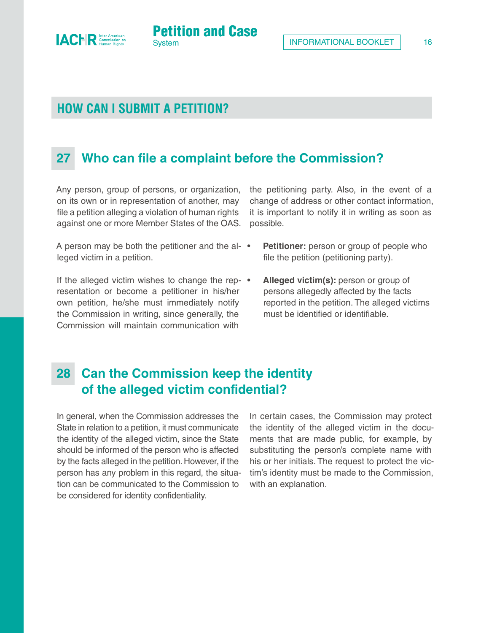#### **HOW CAN I SUBMIT A PETITION?**

<span id="page-15-0"></span>**ACER** Commission of

# **27 Who can file a complaint before the Commission?**

**Petition and Case** 

Any person, group of persons, or organization, on its own or in representation of another, may file a petition alleging a violation of human rights against one or more Member States of the OAS.

A person may be both the petitioner and the al-  $\bullet$ leged victim in a petition.

If the alleged victim wishes to change the rep- $\bullet$ resentation or become a petitioner in his/her own petition, he/she must immediately notify the Commission in writing, since generally, the Commission will maintain communication with

the petitioning party. Also, in the event of a change of address or other contact information, it is important to notify it in writing as soon as possible.

- **Petitioner:** person or group of people who file the petition (petitioning party).
- **Alleged victim(s):** person or group of persons allegedly affected by the facts reported in the petition. The alleged victims must be identified or identifiable.

#### **28 Can the Commission keep the identity of the alleged victim confidential?**

In general, when the Commission addresses the State in relation to a petition, it must communicate the identity of the alleged victim, since the State should be informed of the person who is affected by the facts alleged in the petition. However, if the person has any problem in this regard, the situation can be communicated to the Commission to be considered for identity confidentiality.

In certain cases, the Commission may protect the identity of the alleged victim in the documents that are made public, for example, by substituting the person's complete name with his or her initials. The request to protect the victim's identity must be made to the Commission, with an explanation.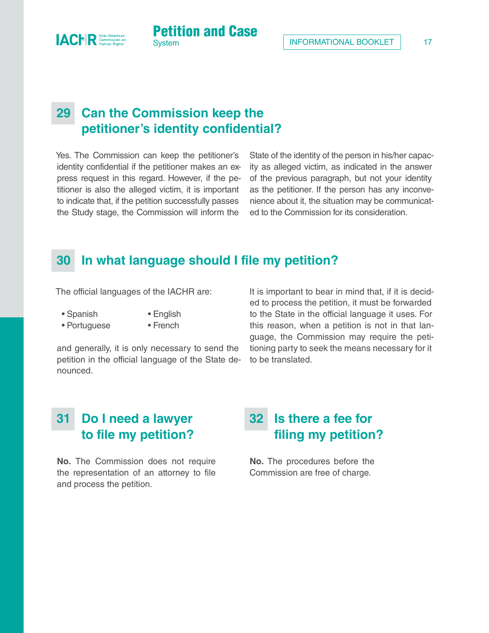

**System** 

Yes. The Commission can keep the petitioner's identity confidential if the petitioner makes an express request in this regard. However, if the petitioner is also the alleged victim, it is important to indicate that, if the petition successfully passes the Study stage, the Commission will inform the

State of the identity of the person in his/her capacity as alleged victim, as indicated in the answer of the previous paragraph, but not your identity as the petitioner. If the person has any inconvenience about it, the situation may be communicated to the Commission for its consideration.

#### **30 In what language should I file my petition?**

Petition and Case

The official languages of the IACHR are:

• Spanish • English

<span id="page-16-0"></span>**IACHR** 

• Portuguese • French

and generally, it is only necessary to send the petition in the official language of the State denounced.

It is important to bear in mind that, if it is decided to process the petition, it must be forwarded to the State in the official language it uses. For this reason, when a petition is not in that language, the Commission may require the petitioning party to seek the means necessary for it to be translated.

#### **31 Do I need a lawyer to file my petition?**

**No.** The Commission does not require the representation of an attorney to file and process the petition.

# **32 Is there a fee for filing my petition?**

**No.** The procedures before the Commission are free of charge.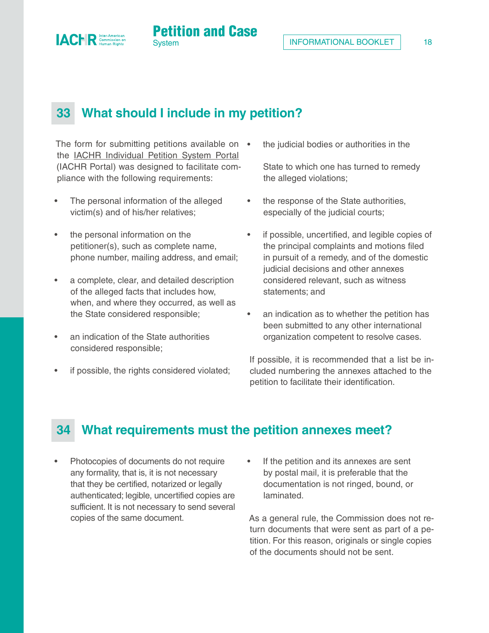

**Petition and Case** 

The form for submitting petitions available on • the [IACHR Individual Petition System Portal](https://www.oas.org/en/iachr/portal/)  (IACHR Portal) was designed to facilitate compliance with the following requirements:

The personal information of the alleged victim(s) and of his/her relatives;

<span id="page-17-0"></span>**ACER** Commission

- the personal information on the petitioner(s), such as complete name, phone number, mailing address, and email;
- a complete, clear, and detailed description of the alleged facts that includes how, when, and where they occurred, as well as the State considered responsible;
- an indication of the State authorities considered responsible;
- if possible, the rights considered violated;

the judicial bodies or authorities in the

State to which one has turned to remedy the alleged violations;

- the response of the State authorities, especially of the judicial courts;
- if possible, uncertified, and legible copies of the principal complaints and motions filed in pursuit of a remedy, and of the domestic judicial decisions and other annexes considered relevant, such as witness statements; and
- an indication as to whether the petition has been submitted to any other international organization competent to resolve cases.

If possible, it is recommended that a list be included numbering the annexes attached to the petition to facilitate their identification.

#### **34 What requirements must the petition annexes meet?**

- Photocopies of documents do not require any formality, that is, it is not necessary that they be certified, notarized or legally authenticated; legible, uncertified copies are sufficient. It is not necessary to send several copies of the same document.
- If the petition and its annexes are sent by postal mail, it is preferable that the documentation is not ringed, bound, or laminated.

As a general rule, the Commission does not return documents that were sent as part of a petition. For this reason, originals or single copies of the documents should not be sent.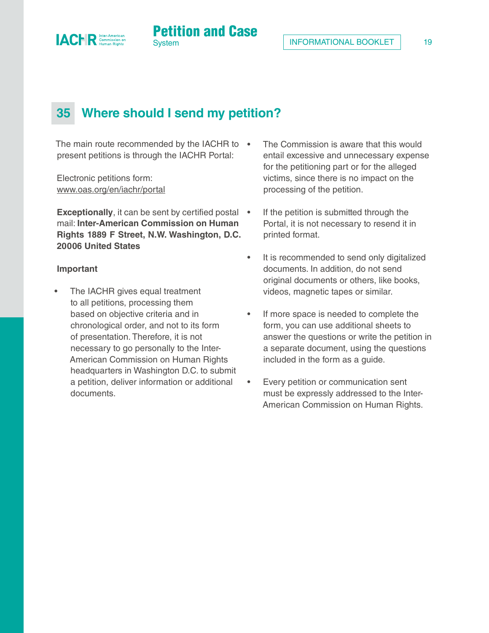

# **35 Where should I send my petition?**

**System** 

Petition and Case

The main route recommended by the IACHR to • present petitions is through the IACHR Portal:

Electronic petitions form: [www.oas.org/en/iachr/portal](https://www.oas.org/en/iachr/portal/)

<span id="page-18-0"></span>**ACHR** Commission of

**Exceptionally**, it can be sent by certified postal • mail: **Inter-American Commission on Human Rights 1889 F Street, N.W. Washington, D.C. 20006 United States**

#### **Important**

The IACHR gives equal treatment to all petitions, processing them based on objective criteria and in chronological order, and not to its form of presentation. Therefore, it is not necessary to go personally to the Inter-American Commission on Human Rights headquarters in Washington D.C. to submit a petition, deliver information or additional documents.

- The Commission is aware that this would entail excessive and unnecessary expense for the petitioning part or for the alleged victims, since there is no impact on the processing of the petition.
- If the petition is submitted through the Portal, it is not necessary to resend it in printed format.
- It is recommended to send only digitalized documents. In addition, do not send original documents or others, like books, videos, magnetic tapes or similar.
- If more space is needed to complete the form, you can use additional sheets to answer the questions or write the petition in a separate document, using the questions included in the form as a guide.
- Every petition or communication sent must be expressly addressed to the Inter-American Commission on Human Rights.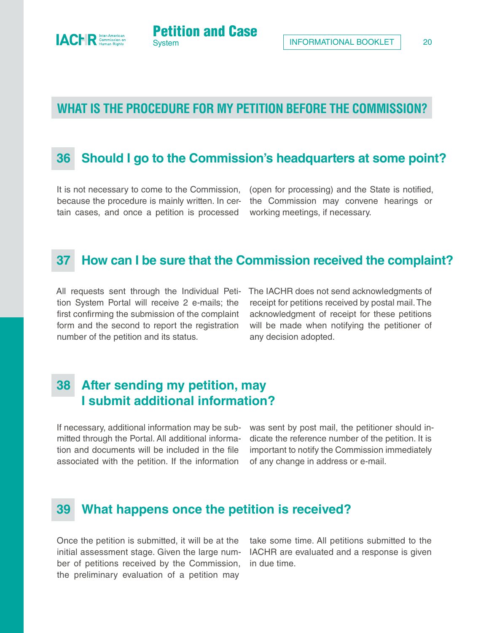#### 20

#### **WHAT IS THE PROCEDURE FOR MY PETITION BEFORE THE COMMISSION?**

**Petition and Case** 

#### **36 Should I go to the Commission's headquarters at some point?**

It is not necessary to come to the Commission, because the procedure is mainly written. In certain cases, and once a petition is processed

(open for processing) and the State is notified, the Commission may convene hearings or working meetings, if necessary.

#### **37 How can I be sure that the Commission received the complaint?**

All requests sent through the Individual Petition System Portal will receive 2 e-mails; the first confirming the submission of the complaint form and the second to report the registration number of the petition and its status.

The IACHR does not send acknowledgments of receipt for petitions received by postal mail. The acknowledgment of receipt for these petitions will be made when notifying the petitioner of any decision adopted.

# **38 After sending my petition, may I submit additional information?**

If necessary, additional information may be submitted through the Portal. All additional information and documents will be included in the file associated with the petition. If the information

was sent by post mail, the petitioner should indicate the reference number of the petition. It is important to notify the Commission immediately of any change in address or e-mail.

#### **39 What happens once the petition is received?**

Once the petition is submitted, it will be at the initial assessment stage. Given the large number of petitions received by the Commission, the preliminary evaluation of a petition may

take some time. All petitions submitted to the IACHR are evaluated and a response is given in due time.

<span id="page-19-0"></span>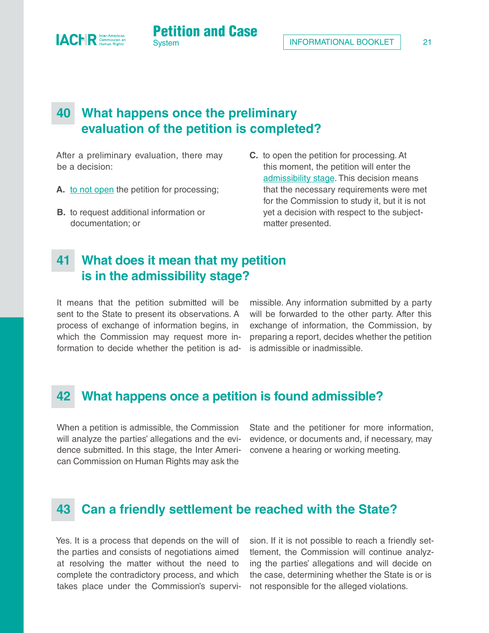## **40 What happens once the preliminary evaluation of the petition is completed?**

**System** 

Petition and Case

After a preliminary evaluation, there may be a decision:

<span id="page-20-0"></span>**IACHR** 

- **A.** [to not open t](#page-23-0)he petition for processing;
- **B.** to request additional information or documentation; or
- **C.** to open the petition for processing. At this moment, the petition will enter the [admissibility stage.](#page-23-0) This decision means that the necessary requirements were met for the Commission to study it, but it is not yet a decision with respect to the subjectmatter presented.

#### **41 What does it mean that my petition is in the admissibility stage?**

It means that the petition submitted will be sent to the State to present its observations. A process of exchange of information begins, in which the Commission may request more information to decide whether the petition is admissible. Any information submitted by a party will be forwarded to the other party. After this exchange of information, the Commission, by preparing a report, decides whether the petition is admissible or inadmissible.

#### **42 What happens once a petition is found admissible?**

When a petition is admissible, the Commission will analyze the parties' allegations and the evidence submitted. In this stage, the Inter American Commission on Human Rights may ask the

State and the petitioner for more information, evidence, or documents and, if necessary, may convene a hearing or working meeting.

#### **43 Can a friendly settlement be reached with the State?**

Yes. It is a process that depends on the will of the parties and consists of negotiations aimed at resolving the matter without the need to complete the contradictory process, and which takes place under the Commission's supervision. If it is not possible to reach a friendly settlement, the Commission will continue analyzing the parties' allegations and will decide on the case, determining whether the State is or is not responsible for the alleged violations.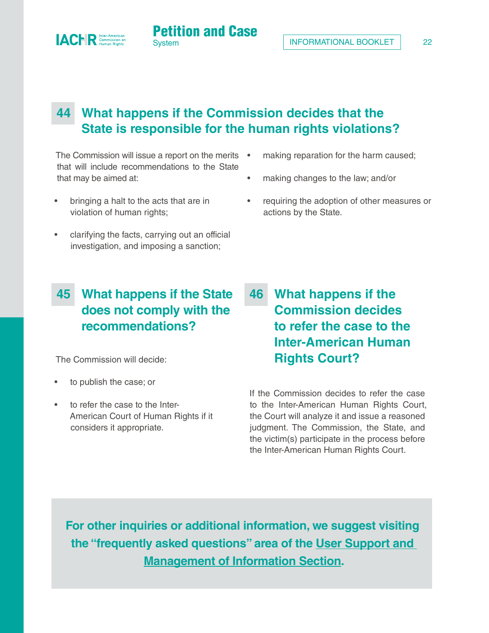• making reparation for the harm caused;

• requiring the adoption of other measures or

• making changes to the law; and/or

actions by the State.

# **44 What happens if the Commission decides that the State is responsible for the human rights violations?**

**Petition and Case** 

The Commission will issue a report on the merits • that will include recommendations to the State that may be aimed at:

• bringing a halt to the acts that are in violation of human rights;

<span id="page-21-0"></span>**IACHR** Commission of

• clarifying the facts, carrying out an official investigation, and imposing a sanction;

# **45 What happens if the State does not comply with the recommendations?**

The Commission will decide:

- to publish the case; or
- to refer the case to the Inter-American Court of Human Rights if it considers it appropriate.

# **46 What happens if the Commission decides to refer the case to the Inter-American Human Rights Court?**

If the Commission decides to refer the case to the Inter-American Human Rights Court, the Court will analyze it and issue a reasoned judgment. The Commission, the State, and the victim(s) participate in the process before the Inter-American Human Rights Court.

**For other inquiries or additional information, we suggest visiting the "frequently asked questions" area of the [User Support and](https://www.oas.org/en/iachr/jsForm/?File=/en/iachr/usersupport/default.asp)  [Management of Information Section](https://www.oas.org/en/iachr/jsForm/?File=/en/iachr/usersupport/default.asp).**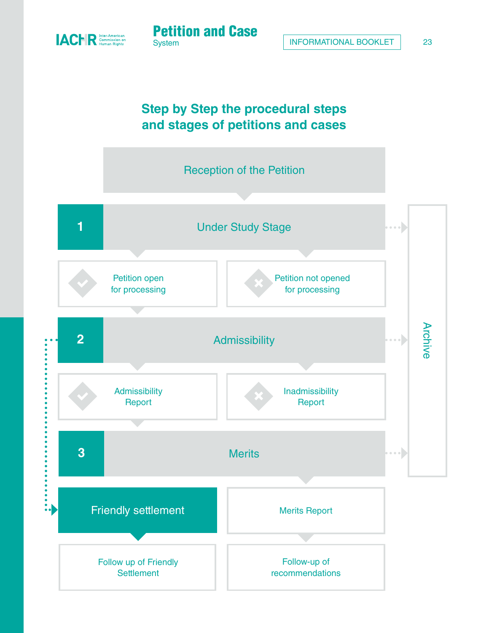

# **Step by Step the procedural steps and stages of petitions and cases**

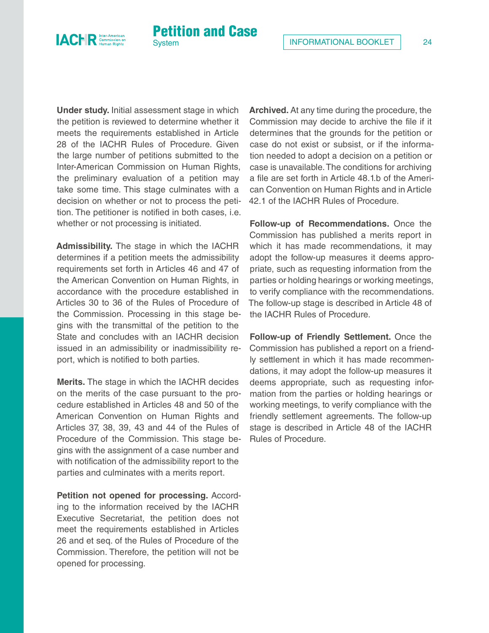<span id="page-23-0"></span>

**Under study.** Initial assessment stage in which the petition is reviewed to determine whether it meets the requirements established in Article 28 of the IACHR Rules of Procedure. Given the large number of petitions submitted to the Inter-American Commission on Human Rights, the preliminary evaluation of a petition may take some time. This stage culminates with a decision on whether or not to process the petition. The petitioner is notified in both cases, i.e. whether or not processing is initiated.

**Petition and Case** 

**Admissibility.** The stage in which the IACHR determines if a petition meets the admissibility requirements set forth in Articles 46 and 47 of the American Convention on Human Rights, in accordance with the procedure established in Articles 30 to 36 of the Rules of Procedure of the Commission. Processing in this stage begins with the transmittal of the petition to the State and concludes with an IACHR decision issued in an admissibility or inadmissibility report, which is notified to both parties.

**Merits.** The stage in which the IACHR decides on the merits of the case pursuant to the procedure established in Articles 48 and 50 of the American Convention on Human Rights and Articles 37, 38, 39, 43 and 44 of the Rules of Procedure of the Commission. This stage begins with the assignment of a case number and with notification of the admissibility report to the parties and culminates with a merits report.

**Petition not opened for processing. Accord**ing to the information received by the IACHR Executive Secretariat, the petition does not meet the requirements established in Articles 26 and et seq. of the Rules of Procedure of the Commission. Therefore, the petition will not be opened for processing.

**Archived.** At any time during the procedure, the Commission may decide to archive the file if it determines that the grounds for the petition or case do not exist or subsist, or if the information needed to adopt a decision on a petition or case is unavailable. The conditions for archiving a file are set forth in Article 48.1.b of the American Convention on Human Rights and in Article 42.1 of the IACHR Rules of Procedure.

**Follow-up of Recommendations.** Once the Commission has published a merits report in which it has made recommendations, it may adopt the follow-up measures it deems appropriate, such as requesting information from the parties or holding hearings or working meetings, to verify compliance with the recommendations. The follow-up stage is described in Article 48 of the IACHR Rules of Procedure.

**Follow-up of Friendly Settlement.** Once the Commission has published a report on a friendly settlement in which it has made recommendations, it may adopt the follow-up measures it deems appropriate, such as requesting information from the parties or holding hearings or working meetings, to verify compliance with the friendly settlement agreements. The follow-up stage is described in Article 48 of the IACHR Rules of Procedure.